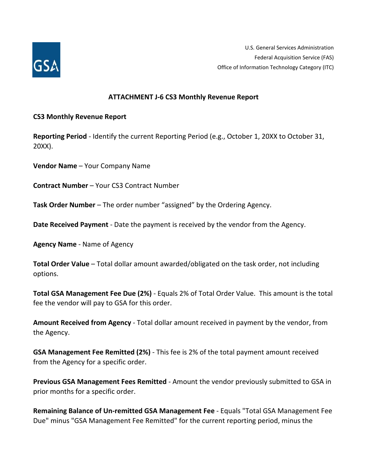

U.S. General Services Administration Federal Acquisition Service (FAS) Office of Information Technology Category (ITC)

## **ATTACHMENT J-6 CS3 Monthly Revenue Report**

## **CS3 Monthly Revenue Report**

**Reporting Period** - Identify the current Reporting Period (e.g., October 1, 20XX to October 31, 20XX).

**Vendor Name** – Your Company Name

**Contract Number** – Your CS3 Contract Number

**Task Order Number** – The order number "assigned" by the Ordering Agency.

**Date Received Payment** - Date the payment is received by the vendor from the Agency.

**Agency Name** - Name of Agency

**Total Order Value** – Total dollar amount awarded/obligated on the task order, not including options.

**Total GSA Management Fee Due (2%)** - Equals 2% of Total Order Value. This amount is the total fee the vendor will pay to GSA for this order.

**Amount Received from Agency** - Total dollar amount received in payment by the vendor, from the Agency.

**GSA Management Fee Remitted (2%)** - This fee is 2% of the total payment amount received from the Agency for a specific order.

**Previous GSA Management Fees Remitted** - Amount the vendor previously submitted to GSA in prior months for a specific order.

**Remaining Balance of Un-remitted GSA Management Fee** - Equals "Total GSA Management Fee Due" minus "GSA Management Fee Remitted" for the current reporting period, minus the